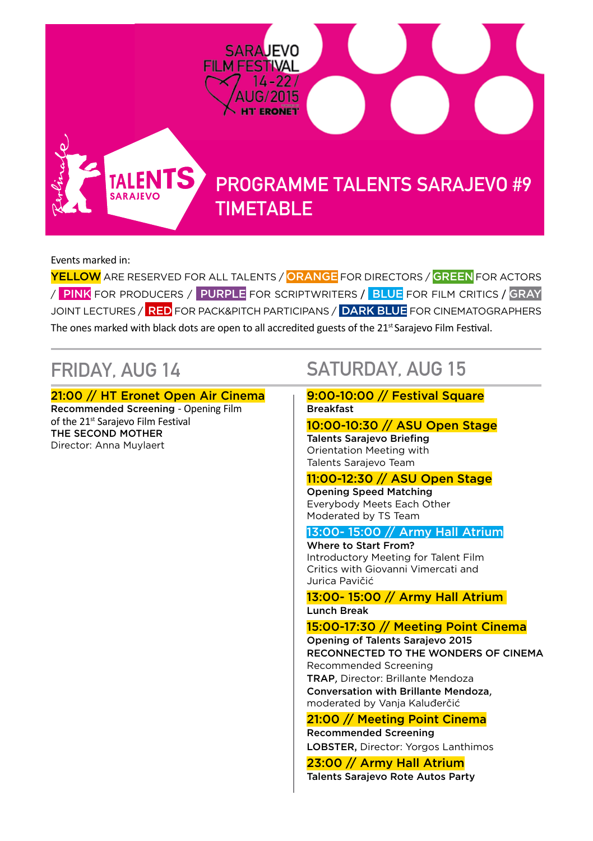

# PROGRAMME TALENTS SARAJEVO #9 TIMETABLE

Events marked in:

YELLOW ARE RESERVED FOR ALL TALENTS / ORANGE FOR DIRECTORS / GREEN FOR ACTORS / PINK FOR PRODUCERS / PURPLE FOR SCRIPTWRITERS / BLUE FOR FILM CRITICS / GRAY JOINT LECTURES / RED FOR PACK&PITCH PARTICIPANS / DARK BLUE FOR CINEMATOGRAPHERS The ones marked with black dots are open to all accredited guests of the  $21^{st}$  Sarajevo Film Festival.

21:00 // HT Eronet Open Air Cinema

Recommended Screening - Opening Film of the 21<sup>st</sup> Sarajevo Film Festival THE SECOND MOTHER Director: Anna Muylaert

**TAI FNT SARAJEVO** 

# FRIDAY, AUG 14 SATURDAY, AUG 15

### 9:00-10:00 // Festival Square Breakfast

# 10:00-10:30 // ASU Open Stage

Talents Sarajevo Briefing Orientation Meeting with Talents Sarajevo Team

# 11:00-12:30 // ASU Open Stage

Opening Speed Matching Everybody Meets Each Other Moderated by TS Team

# 13:00- 15:00 // Army Hall Atrium

Where to Start From? Introductory Meeting for Talent Film Critics with Giovanni Vimercati and Jurica Pavičić

### 13:00- 15:00 // Army Hall Atrium Lunch Break

# 15:00-17:30 // Meeting Point Cinema

Opening of Talents Sarajevo 2015 RECONNECTED TO THE WONDERS OF CINEMA Recommended Screening TRAP, Director: Brillante Mendoza Conversation with Brillante Mendoza, moderated by Vanja Kaluđerčić

### 21:00 // Meeting Point Cinema Recommended Screening

LOBSTER, Director: Yorgos Lanthimos

# 23:00 // Army Hall Atrium

Talents Sarajevo Rote Autos Party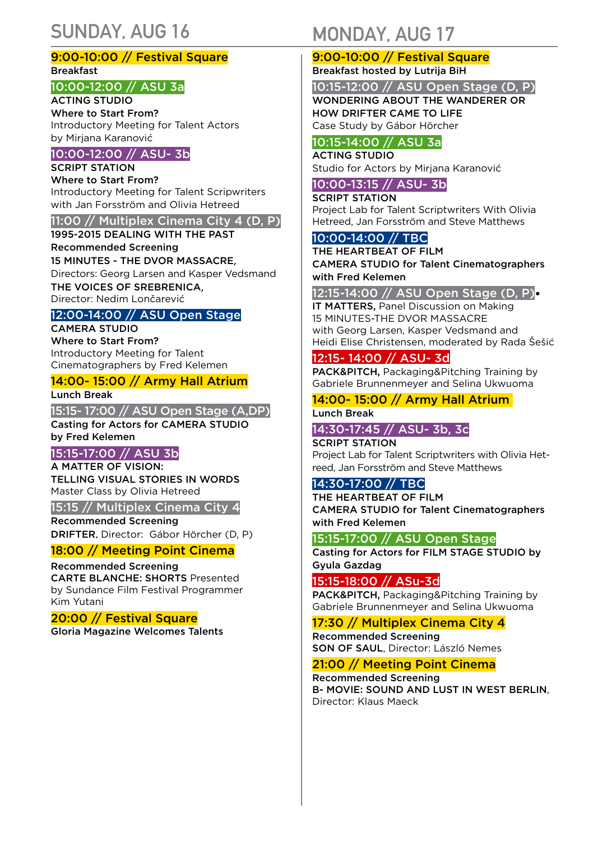# SUNDAY, AUG 16 MONDAY, AUG 17

### 9:00-10:00 // Festival Square Breakfast

### 10:00-12:00 // ASU 3a

ACTING STUDIO Where to Start From? Introductory Meeting for Talent Actors by Mirjana Karanović

### 10:00-12:00 // ASU- 3b

SCRIPT STATION

Where to Start From? Introductory Meeting for Talent Scripwriters with Jan Forsström and Olivia Hetreed

### 11:00 // Multiplex Cinema City 4 (D, P)

1995-2015 DEALING WITH THE PAST Recommended Screening 15 MINUTES - THE DVOR MASSACRE, Directors: Georg Larsen and Kasper Vedsmand THE VOICES OF SREBRENICA, Director: Nedim Lončarević

### 12:00-14:00 // ASU Open Stage

CAMERA STUDIO Where to Start From? Introductory Meeting for Talent Cinematographers by Fred Kelemen

### 14:00- 15:00 // Army Hall Atrium

Lunch Break

15:15- 17:00 // ASU Open Stage (A,DP) Casting for Actors for CAMERA STUDIO by Fred Kelemen

# 15:15-17:00 // ASU 3b

A MATTER OF VISION: TELLING VISUAL STORIES IN WORDS

Master Class by Olivia Hetreed

15:15 // Multiplex Cinema City 4 Recommended Screening

DRIFTER, Director: Gábor Hörcher (D, P)

# 18:00 // Meeting Point Cinema

Recommended Screening CARTE BLANCHE: SHORTS Presented by Sundance Film Festival Programmer Kim Yutani

### 20:00 // Festival Square Gloria Magazine Welcomes Talents

# 9:00-10:00 // Festival Square

Breakfast hosted by Lutrija BiH

10:15-12:00 // ASU Open Stage (D, P) WONDERING ABOUT THE WANDERER OR HOW DRIFTER CAME TO LIFE

Case Study by Gábor Hörcher

### 10:15-14:00 // ASU 3a ACTING STUDIO

Studio for Actors by Mirjana Karanović

# 10:00-13:15 // ASU- 3b

SCRIPT STATION Project Lab for Talent Scriptwriters With Olivia Hetreed, Jan Forsström and Steve Matthews

### 10:00-14:00 // TBC

THE HEARTBEAT OF FILM CAMERA STUDIO for Talent Cinematographers with Fred Kelemen

### 12:15-14:00 // ASU Open Stage (D, P)•

IT MATTERS, Panel Discussion on Making 15 MINUTES-THE DVOR MASSACRE with Georg Larsen, Kasper Vedsmand and Heidi Elise Christensen, moderated by Rada Šešić

### 12:15- 14:00 // ASU- 3d

PACK&PITCH, Packaging&Pitching Training by Gabriele Brunnenmeyer and Selina Ukwuoma

# 14:00- 15:00 // Army Hall Atrium

Lunch Break

# 14:30-17:45 // ASU- 3b, 3c

SCRIPT STATION Project Lab for Talent Scriptwriters with Olivia Hetreed, Jan Forsström and Steve Matthews

# 14:30-17:00 // TBC

THE HEARTBEAT OF FILM CAMERA STUDIO for Talent Cinematographers with Fred Kelemen

### 15:15-17:00 // ASU Open Stage

Casting for Actors for FILM STAGE STUDIO by Gyula Gazdag

### 15:15-18:00 // ASu-3d

PACK&PITCH, Packaging&Pitching Training by Gabriele Brunnenmeyer and Selina Ukwuoma

# 17:30 // Multiplex Cinema City 4

Recommended Screening SON OF SAUL, Director: László Nemes

## 21:00 // Meeting Point Cinema

Recommended Screening B- MOVIE: SOUND AND LUST IN WEST BERLIN Director: Klaus Maeck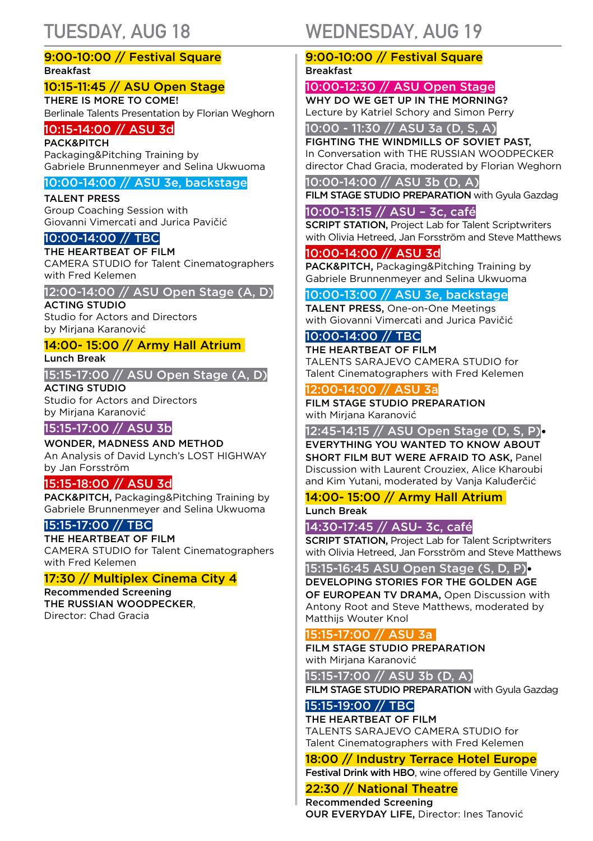### 9:00-10:00 // Festival Square Breakfast

# 10:15-11:45 // ASU Open Stage

THERE IS MORE TO COME! Berlinale Talents Presentation by Florian Weghorn

### 10:15-14:00 // ASU 3d

**PACK&PITCH** Packaging&Pitching Training by Gabriele Brunnenmeyer and Selina Ukwuoma

### 10:00-14:00 // ASU 3e, backstage

TALENT PRESS Group Coaching Session with Giovanni Vimercati and Jurica Pavičić

### 10:00-14:00 // TBC

THE HEARTBEAT OF FILM CAMERA STUDIO for Talent Cinematographers with Fred Kelemen

### 12:00-14:00 // ASU Open Stage (A, D)

ACTING STUDIO Studio for Actors and Directors by Mirjana Karanović

### 14:00- 15:00 // Army Hall Atrium

Lunch Break

15:15-17:00 // ASU Open Stage (A, D)

ACTING STUDIO Studio for Actors and Directors by Mirjana Karanović

# 15:15-17:00 // ASU 3b

WONDER, MADNESS AND METHOD An Analysis of David Lynch's LOST HIGHWAY by Jan Forsström

# 15:15-18:00 // ASU 3d

PACK&PITCH, Packaging&Pitching Training by Gabriele Brunnenmeyer and Selina Ukwuoma

# 15:15-17:00 // TBC

THE HEARTBEAT OF FILM CAMERA STUDIO for Talent Cinematographers with Fred Kelemen

### 17:30 // Multiplex Cinema City 4

Recommended Screening THE RUSSIAN WOODPECKER, Director: Chad Gracia

# TUESDAY, AUG 18 WEDNESDAY, AUG 19

### 9:00-10:00 // Festival Square Breakfast

10:00-12:30 // ASU Open Stage WHY DO WE GET UP IN THE MORNING? Lecture by Katriel Schory and Simon Perry

10:00 - 11:30 // ASU 3a (D, S, A)

FIGHTING THE WINDMILLS OF SOVIET PAST, In Conversation with THE RUSSIAN WOODPECKER director Chad Gracia, moderated by Florian Weghorn

### 10:00-14:00 // ASU 3b (D, A)

FILM STAGE STUDIO PREPARATION with Gyula Gazdag

### 10:00-13:15 // ASU – 3c, café

**SCRIPT STATION, Project Lab for Talent Scriptwriters** with Olivia Hetreed, Jan Forsström and Steve Matthews

### 10:00-14:00 // ASU 3d

PACK&PITCH, Packaging&Pitching Training by Gabriele Brunnenmeyer and Selina Ukwuoma

### 10:00-13:00 // ASU 3e, backstage

TALENT PRESS, One-on-One Meetings with Giovanni Vimercati and Jurica Pavičić

# 10:00-14:00 // TBC

THE HEARTBEAT OF FILM TALENTS SARAJEVO CAMERA STUDIO for Talent Cinematographers with Fred Kelemen

### 12:00-14:00 // ASU 3a

FILM STAGE STUDIO PREPARATION with Mirjana Karanović

### 12:45-14:15 // ASU Open Stage (D, S, P)•

EVERYTHING YOU WANTED TO KNOW ABOUT SHORT FILM BUT WERE AFRAID TO ASK, Panel Discussion with Laurent Crouziex, Alice Kharoubi and Kim Yutani, moderated by Vanja Kaluđerčić

### 14:00- 15:00 // Army Hall Atrium Lunch Break

### 14:30-17:45 // ASU- 3c, café

**SCRIPT STATION, Project Lab for Talent Scriptwriters** with Olivia Hetreed, Jan Forsström and Steve Matthews

### 15:15-16:45 ASU Open Stage (S, D, P)•

DEVELOPING STORIES FOR THE GOLDEN AGE OF EUROPEAN TV DRAMA, Open Discussion with Antony Root and Steve Matthews, moderated by Matthijs Wouter Knol

### 15:15-17:00 // ASU 3a

FILM STAGE STUDIO PREPARATION with Mirjana Karanović

15:15-17:00 // ASU 3b (D, A)

FILM STAGE STUDIO PREPARATION with Gyula Gazdag

# 15:15-19:00 // TBC

THE HEARTREAT OF FILM TALENTS SARAJEVO CAMERA STUDIO for Talent Cinematographers with Fred Kelemen

# 18:00 // Industry Terrace Hotel Europe

Festival Drink with HBO, wine offered by Gentille Vinery

# 22:30 // National Theatre

Recommended Screening OUR EVERYDAY LIFE, Director: Ines Tanović